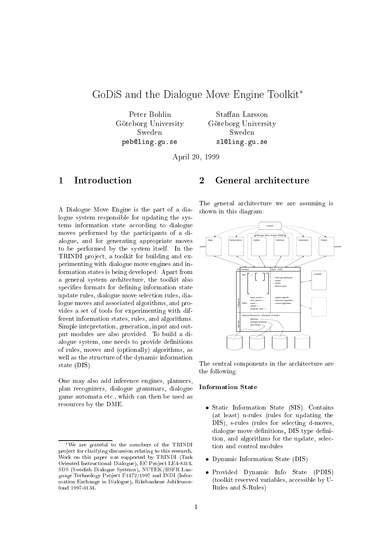# GoDiS and the Dialogue Move Engine Toolkit

Peter Bohlin Göteborg University Sweden pebling.gu.se

Staffan Larsson Göteborg University Sweden  $s = -1$ sling.gu.se

April 20, 1999

#### **Introduction**  $\mathbf{1}$

A Dialogue Move Engine is the part of a dialogue system responsible for updating the systems information state according to dialogue moves performed by the participants of a dialogue, and for generating appropriate moves to be performed by the system itself. In the TRINDI project, a toolkit for building and experimenting with dialogue move engines and information states is being developed. Apart from a general system architecture, the toolkit also specifies formats for defining information state update rules, dialogue move sele
tion rules, dialogue moves and asso
iated algorithms, and provides a set of tools for experimenting with different information states, rules, and algorithms. Simple intepretation, generation, input and output modules are also provided. To build a dialogue system, one needs to provide definitions of rules, moves and (optionally) algorithms, as well as the structure of the dynamic information state (DIS).

One may also add inferen
e engines, planners, plan re
ognizers, dialogue grammars, dialogue game automata et
., whi
h an then be used as resour
es by the DME.

### $\overline{2}$ General architecture

The general architecture we are assuming is shown in this diagram:



The central components in the architecture are the following:

### Information State

- Static Information State (SIS). Contains (at least) u-rules (rules for updating the DIS), s-rules (rules for selecting d-moves, dialogue move definitions, DIS type definition, and algorithms for the update, selection and ontrol modules
- Dynami Information State (DIS)
- Provided Dynami Info State (PDIS) (toolkit reserved variables, accessible by U-Rules and S-Rules)

We are grateful to the members of the TRINDI project for clarifying discussion relating to this research. Work on this paper was supported by TRINDI (Task Oriented Instructional Dialogue), EC Project LE4-8314, SDS (Swedish Dialogue Systems), NUTEK/HSFR Language Technology Project F1472/1997 and INDI (Information Ex
hange in Dialogue), Riksbankens Jubileumsfond 1997-0134.